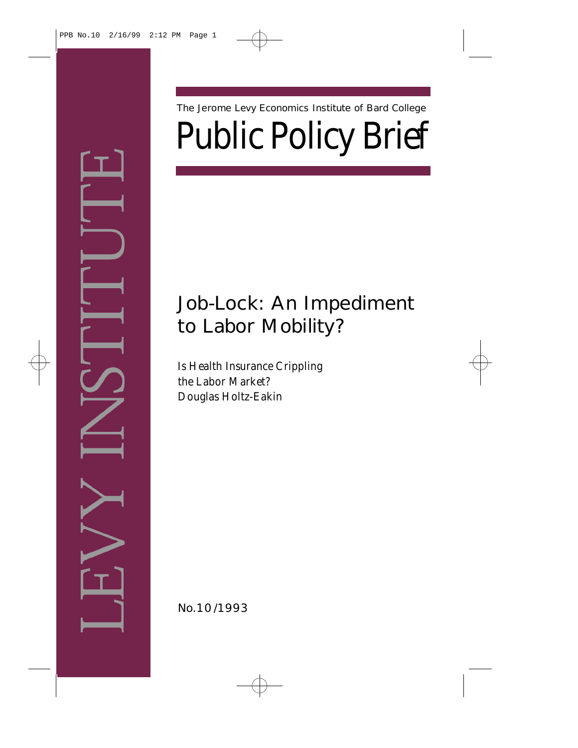Public Policy Brief The Jerome Levy Economics Institute of Bard College

# Job-Lock: An Impediment to Labor Mobility?

Is Health Insurance Crippling the Labor Market? *Douglas Holtz-Eakin*

No. 10/1993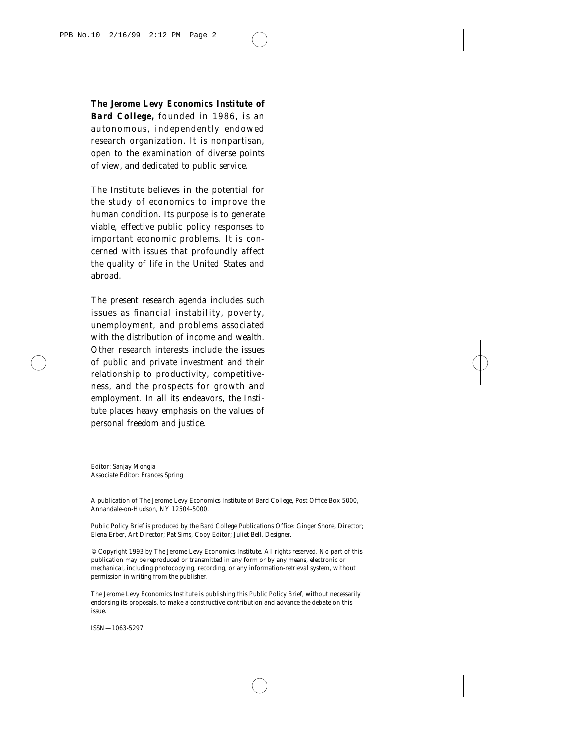*The Jerome Levy Economics Institute of Bard College,* founded in 1986, is an autonomous, independently endowed research organization. It is nonpartisan, open to the examination of diverse points of view, and dedicated to public service.

The Institute believes in the potential for the study of economics to improve the human condition. Its purpose is to generate viable, effective public policy responses to important economic problems. It is concerned with issues that profoundly affect the quality of life in the United States and abroad.

The present research agenda includes such issues as financial instability, poverty, unemployment, and problems associated with the distribution of income and wealth. Other research interests include the issues of public and private investment and their relationship to productivity, competitiveness, and the prospects for growth and employment. In all its endeavors, the Institute places heavy emphasis on the values of personal freedom and justice.

Editor: Sanjay Mongia Associate Editor: Frances Spring

A publication of The Jerome Levy Economics Institute of Bard College, Post Office Box 5000, Annandale-on-Hudson, NY 12504-5000.

*Public Policy Brief* is produced by the Bard College Publications Office: Ginger Shore, Director; Elena Erber, Art Director; Pat Sims, Copy Editor; Juliet Bell, Designer.

© Copyright 1993 by The Jerome Levy Economics Institute. All rights reserved. No part of this publication may be reproduced or transmitted in any form or by any means, electronic or mechanical, including photocopying, recording, or any information-retrieval system, without permission in writing from the publisher.

The Jerome Levy Economics Institute is publishing this *Public Policy Brief*, without necessarily endorsing its proposals, to make a constructive contribution and advance the debate on this issue.

ISSN—1063-5297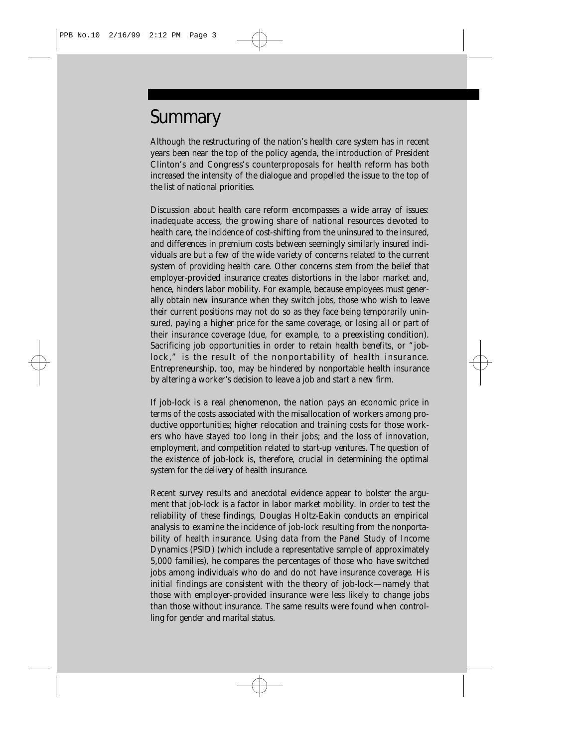## **Summary**

Although the restructuring of the nation's health care system has in recent years been near the top of the policy agenda, the introduction of President Clinton's and Congress's counterproposals for health reform has both increased the intensity of the dialogue and propelled the issue to the top of the list of national priorities.

Discussion about health care reform encompasses a wide array of issues: inadequate access, the growing share of national resources devoted to health care, the incidence of cost-shifting from the uninsured to the insured, and differences in premium costs between seemingly similarly insured individuals are but a few of the wide variety of concerns related to the current system of providing health care. Other concerns stem from the belief that employer-provided insurance creates distortions in the labor market and, hence, hinders labor mobility. For example, because employees must generally obtain new insurance when they switch jobs, those who wish to leave their current positions may not do so as they face being temporarily uninsured, paying a higher price for the same coverage, or losing all or part of their insurance coverage (due, for example, to a preexisting condition). Sacrificing job opportunities in order to retain health benefits, or "joblock," is the result of the nonportability of health insurance. Entrepreneurship, too, may be hindered by nonportable health insurance by altering a worker's decision to leave a job and start a new firm.

If job-lock is a real phenomenon, the nation pays an economic price in terms of the costs associated with the misallocation of workers among productive opportunities; higher relocation and training costs for those workers who have stayed too long in their jobs; and the loss of innovation, employment, and competition related to start-up ventures. The question of the existence of job-lock is, therefore, crucial in determining the optimal system for the delivery of health insurance.

Recent survey results and anecdotal evidence appear to bolster the argument that job-lock is a factor in labor market mobility. In order to test the reliability of these findings, Douglas Holtz-Eakin conducts an empirical analysis to examine the incidence of job-lock resulting from the nonportability of health insurance. Using data from the Panel Study of Income Dynamics (PSID) (which include a representative sample of approximately 5,000 families), he compares the percentages of those who have switched jobs among individuals who do and do not have insurance coverage. His initial findings are consistent with the theory of job-lock—namely that those with employer-provided insurance were less likely to change jobs than those without insurance. The same results were found when controlling for gender and marital status.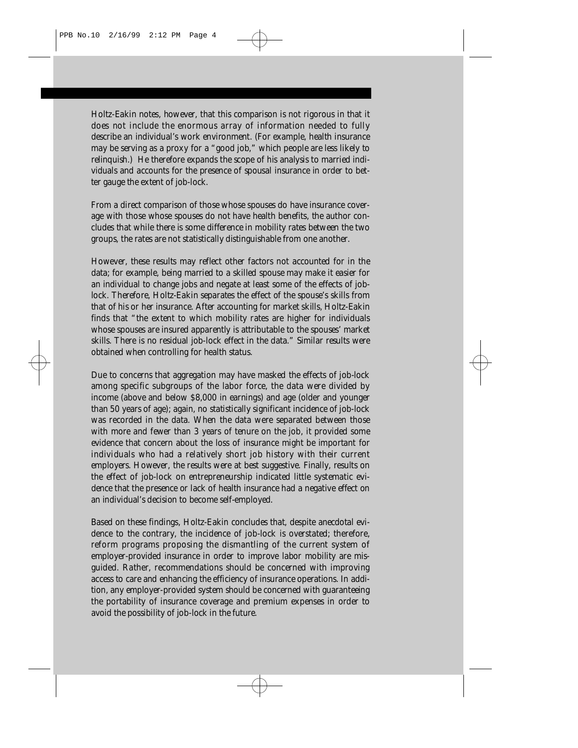Holtz-Eakin notes, however, that this comparison is not rigorous in that it does not include the enormous array of information needed to fully describe an individual's work environment. (For example, health insurance may be serving as a proxy for a "good job," which people are less likely to relinquish.) He therefore expands the scope of his analysis to married individuals and accounts for the presence of spousal insurance in order to better gauge the extent of job-lock.

From a direct comparison of those whose spouses do have insurance coverage with those whose spouses do not have health benefits, the author concludes that while there is some difference in mobility rates between the two groups, the rates are not statistically distinguishable from one another.

However, these results may reflect other factors not accounted for in the data; for example, being married to a skilled spouse may make it easier for an individual to change jobs and negate at least some of the effects of joblock. Therefore, Holtz-Eakin separates the effect of the spouse's skills from that of his or her insurance. After accounting for market skills, Holtz-Eakin finds that "the extent to which mobility rates are higher for individuals whose spouses are insured apparently is attributable to the spouses' market skills. There is no residual job-lock effect in the data." Similar results were obtained when controlling for health status.

Due to concerns that aggregation may have masked the effects of job-lock among specific subgroups of the labor force, the data were divided by income (above and below \$8,000 in earnings) and age (older and younger than 50 years of age); again, no statistically significant incidence of job-lock was recorded in the data. When the data were separated between those with more and fewer than 3 years of tenure on the job, it provided some evidence that concern about the loss of insurance might be important for individuals who had a relatively short job history with their current employers. However, the results were at best suggestive. Finally, results on the effect of job-lock on entrepreneurship indicated little systematic evidence that the presence or lack of health insurance had a negative effect on an individual's decision to become self-employed.

Based on these findings, Holtz-Eakin concludes that, despite anecdotal evidence to the contrary, the incidence of job-lock is overstated; therefore, reform programs proposing the dismantling of the current system of employer-provided insurance in order to improve labor mobility are misguided. Rather, recommendations should be concerned with improving access to care and enhancing the efficiency of insurance operations. In addition, any employer-provided system should be concerned with guaranteeing the portability of insurance coverage and premium expenses in order to avoid the possibility of job-lock in the future.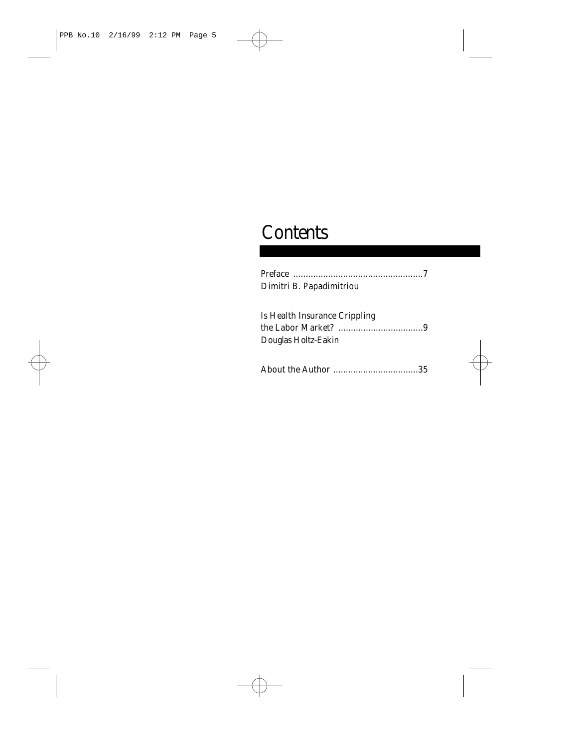# **Contents**

| Dimitri B. Papadimitriou      |
|-------------------------------|
|                               |
| Is Health Insurance Crippling |
|                               |
| Douglas Holtz-Eakin           |
|                               |
|                               |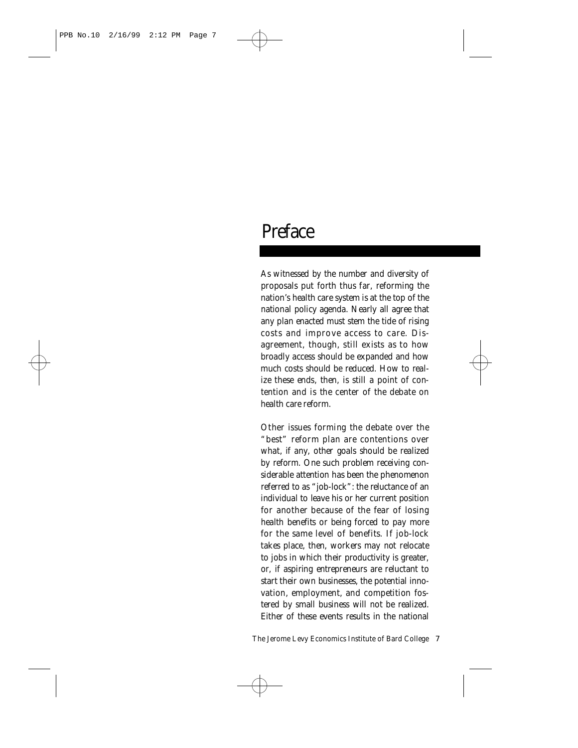## Preface

As witnessed by the number and diversity of proposals put forth thus far, reforming the nation's health care system is at the top of the national policy agenda. Nearly all agree that any plan enacted must stem the tide of rising costs and improve access to care. Disagreement, though, still exists as to how broadly access should be expanded and how much costs should be reduced. How to realize these ends, then, is still a point of contention and is the center of the debate on health care reform.

Other issues forming the debate over the "best" reform plan are contentions over what, if any, other goals should be realized by reform. One such problem receiving considerable attention has been the phenomenon referred to as "job-lock": the reluctance of an individual to leave his or her current position for another because of the fear of losing health benefits or being forced to pay more for the same level of benefits. If job-lock takes place, then, workers may not relocate to jobs in which their productivity is greater, or, if aspiring entrepreneurs are reluctant to start their own businesses, the potential innovation, employment, and competition fostered by small business will not be realized. Either of these events results in the national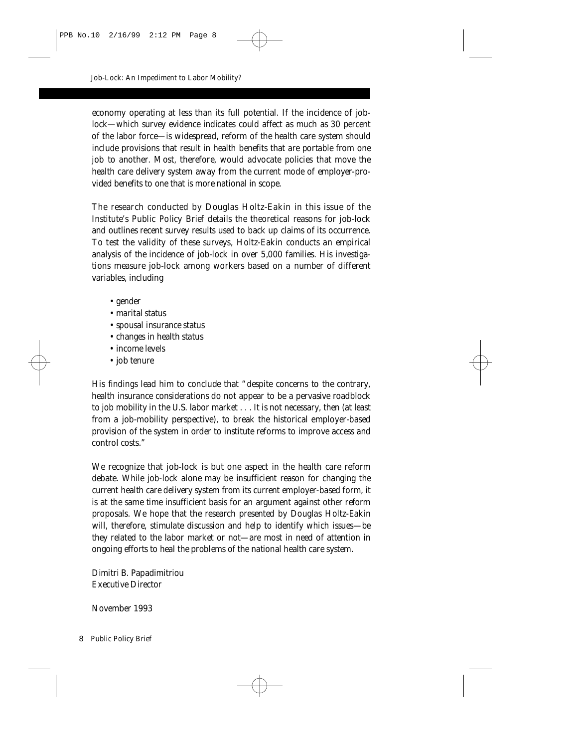economy operating at less than its full potential. If the incidence of joblock—which survey evidence indicates could affect as much as 30 percent of the labor force—is widespread, reform of the health care system should include provisions that result in health benefits that are portable from one job to another. Most, therefore, would advocate policies that move the health care delivery system away from the current mode of employer-provided benefits to one that is more national in scope.

The research conducted by Douglas Holtz-Eakin in this issue of the Institute's *Public Policy Brief* details the theoretical reasons for job-lock and outlines recent survey results used to back up claims of its occurrence. To test the validity of these surveys, Holtz-Eakin conducts an empirical analysis of the incidence of job-lock in over 5,000 families. His investigations measure job-lock among workers based on a number of different variables, including

- gender
- marital status
- spousal insurance status
- changes in health status
- income levels
- job tenure

His findings lead him to conclude that "despite concerns to the contrary, health insurance considerations do not appear to be a pervasive roadblock to job mobility in the U.S. labor market . . . It is not necessary, then (at least from a job-mobility perspective), to break the historical employer-based provision of the system in order to institute reforms to improve access and control costs."

We recognize that job-lock is but one aspect in the health care reform debate. While job-lock alone may be insufficient reason for changing the current health care delivery system from its current employer-based form, it is at the same time insufficient basis for an argument against other reform proposals. We hope that the research presented by Douglas Holtz-Eakin will, therefore, stimulate discussion and help to identify which issues—be they related to the labor market or not—are most in need of attention in ongoing efforts to heal the problems of the national health care system.

Dimitri B. Papadimitriou *Executive Director*

November 1993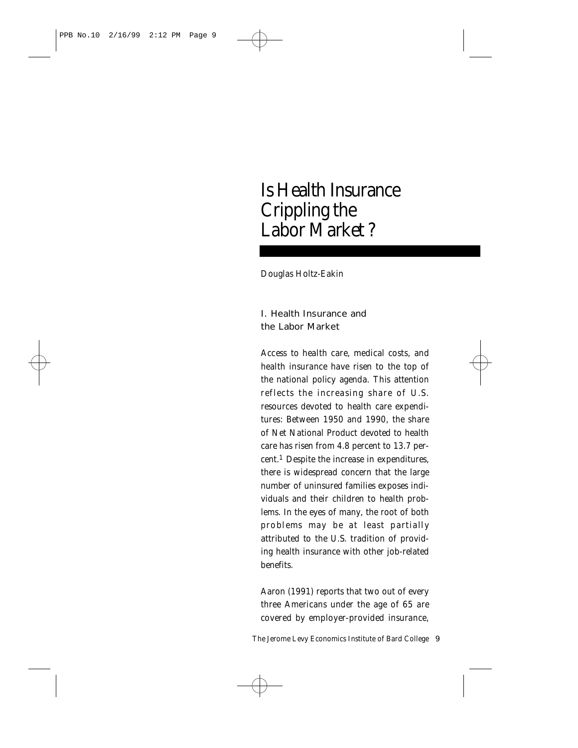## Is Health Insurance Crippling the Labor Market ?

*Douglas Holtz-Eakin*

### I. Health Insurance and the Labor Market

Access to health care, medical costs, and health insurance have risen to the top of the national policy agenda. This attention reflects the increasing share of U.S. resources devoted to health care expenditures: Between 1950 and 1990, the share of Net National Product devoted to health care has risen from 4.8 percent to 13.7 percent.1 Despite the increase in expenditures, there is widespread concern that the large number of uninsured families exposes individuals and their children to health problems. In the eyes of many, the root of both problems may be at least partially attributed to the U.S. tradition of providing health insurance with other job-related benefits.

Aaron (1991) reports that two out of every three Americans under the age of 65 are covered by employer-provided insurance,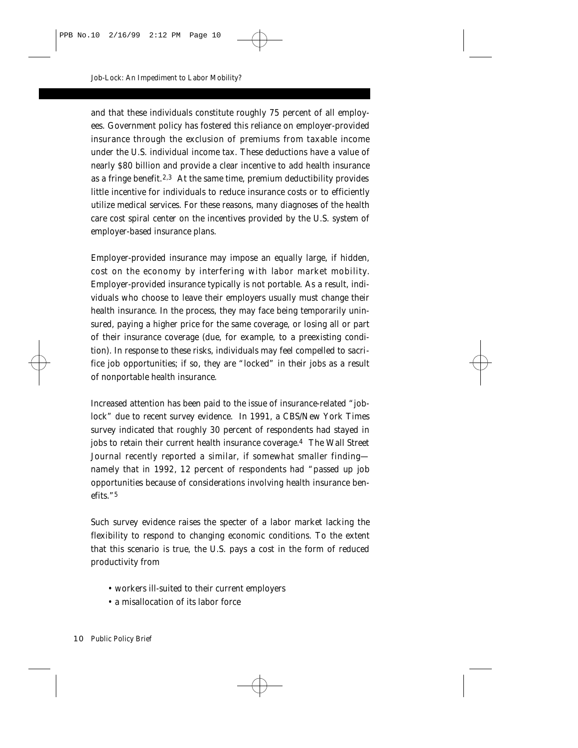and that these individuals constitute roughly 75 percent of all employees. Government policy has fostered this reliance on employer-provided insurance through the exclusion of premiums from taxable income under the U.S. individual income tax. These deductions have a value of nearly \$80 billion and provide a clear incentive to add health insurance as a fringe benefit.2,3 At the same time, premium deductibility provides little incentive for individuals to reduce insurance costs or to efficiently utilize medical services. For these reasons, many diagnoses of the health care cost spiral center on the incentives provided by the U.S. system of employer-based insurance plans.

Employer-provided insurance may impose an equally large, if hidden, cost on the economy by interfering with labor market mobility. Employer-provided insurance typically is not portable. As a result, individuals who choose to leave their employers usually must change their health insurance. In the process, they may face being temporarily uninsured, paying a higher price for the same coverage, or losing all or part of their insurance coverage (due, for example, to a preexisting condition). In response to these risks, individuals may feel compelled to sacrifice job opportunities; if so, they are "locked" in their jobs as a result of nonportable health insurance.

Increased attention has been paid to the issue of insurance-related "joblock" due to recent survey evidence. In 1991, a CBS/*New York Times* survey indicated that roughly 30 percent of respondents had stayed in jobs to retain their current health insurance coverage.4 The *Wall Street Journal* recently reported a similar, if somewhat smaller finding namely that in 1992, 12 percent of respondents had "passed up job opportunities because of considerations involving health insurance benefits."5

Such survey evidence raises the specter of a labor market lacking the flexibility to respond to changing economic conditions. To the extent that this scenario is true, the U.S. pays a cost in the form of reduced productivity from

- workers ill-suited to their current employers
- a misallocation of its labor force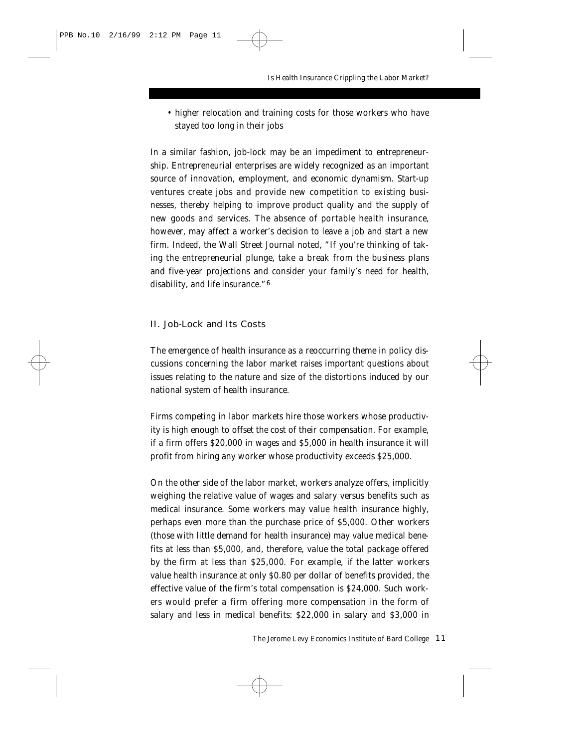• higher relocation and training costs for those workers who have stayed too long in their jobs

In a similar fashion, job-lock may be an impediment to entrepreneurship. Entrepreneurial enterprises are widely recognized as an important source of innovation, employment, and economic dynamism. Start-up ventures create jobs and provide new competition to existing businesses, thereby helping to improve product quality and the supply of new goods and services. The absence of portable health insurance, however, may affect a worker's decision to leave a job and start a new firm. Indeed, the *Wall Street Journal* noted, "If you're thinking of taking the entrepreneurial plunge, take a break from the business plans and five-year projections and consider your family's need for health, disability, and life insurance."6

#### II. Job-Lock and Its Costs

The emergence of health insurance as a reoccurring theme in policy discussions concerning the labor market raises important questions about issues relating to the nature and size of the distortions induced by our national system of health insurance.

Firms competing in labor markets hire those workers whose productivity is high enough to offset the cost of their compensation. For example, if a firm offers \$20,000 in wages and \$5,000 in health insurance it will profit from hiring any worker whose productivity exceeds \$25,000.

On the other side of the labor market, workers analyze offers, implicitly weighing the relative value of wages and salary versus benefits such as medical insurance. Some workers may value health insurance highly, perhaps even more than the purchase price of \$5,000. Other workers (those with little demand for health insurance) may value medical benefits at less than \$5,000, and, therefore, value the total package offered by the firm at less than \$25,000. For example, if the latter workers value health insurance at only \$0.80 per dollar of benefits provided, the effective value of the firm's total compensation is \$24,000. Such workers would prefer a firm offering more compensation in the form of salary and less in medical benefits: \$22,000 in salary and \$3,000 in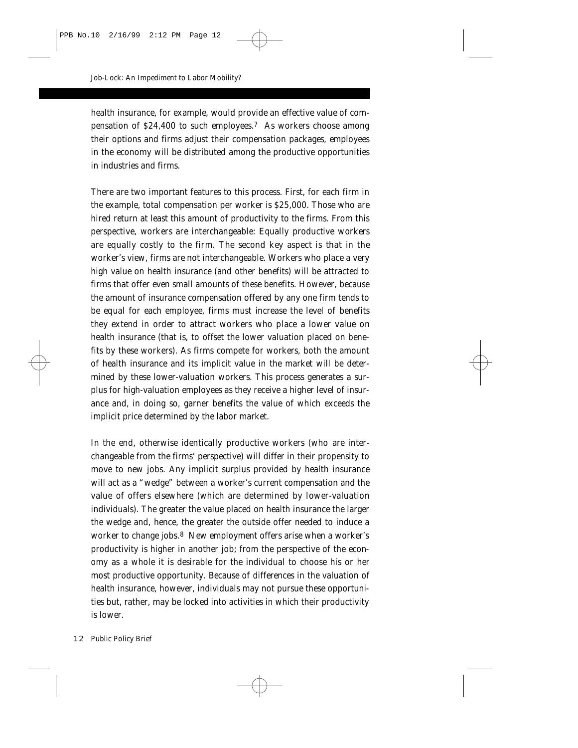health insurance, for example, would provide an effective value of compensation of \$24,400 to such employees.7 As workers choose among their options and firms adjust their compensation packages, employees in the economy will be distributed among the productive opportunities in industries and firms.

There are two important features to this process. First, for each firm in the example, total compensation per worker is \$25,000. Those who are hired return at least this amount of productivity to the firms. From this perspective, workers are interchangeable: Equally productive workers are equally costly to the firm. The second key aspect is that in the worker's view, firms are *not* interchangeable. Workers who place a very high value on health insurance (and other benefits) will be attracted to firms that offer even small amounts of these benefits. However, because the amount of insurance compensation offered by any one firm tends to be equal for each employee, firms must increase the level of benefits they extend in order to attract workers who place a lower value on health insurance (that is, to offset the lower valuation placed on benefits by these workers). As firms compete for workers, both the amount of health insurance and its implicit value in the market will be determined by these lower-valuation workers. This process generates a surplus for high-valuation employees as they receive a higher level of insurance and, in doing so, garner benefits the value of which exceeds the implicit price determined by the labor market.

In the end, otherwise identically productive workers (who are interchangeable from the firms' perspective) will differ in their propensity to move to new jobs. Any implicit surplus provided by health insurance will act as a "wedge" between a worker's current compensation and the value of offers elsewhere (which are determined by lower-valuation individuals). The greater the value placed on health insurance the larger the wedge and, hence, the greater the outside offer needed to induce a worker to change jobs.<sup>8</sup> New employment offers arise when a worker's productivity is higher in another job; from the perspective of the economy as a whole it is desirable for the individual to choose his or her most productive opportunity. Because of differences in the valuation of health insurance, however, individuals may not pursue these opportunities but, rather, may be locked into activities in which their productivity is lower.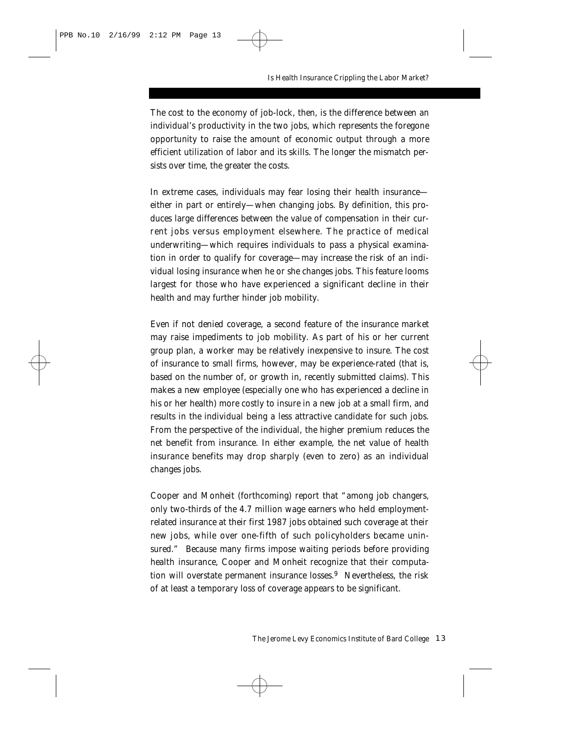The cost to the economy of job-lock, then, is the difference between an individual's productivity in the two jobs, which represents the foregone opportunity to raise the amount of economic output through a more efficient utilization of labor and its skills. The longer the mismatch persists over time, the greater the costs.

In extreme cases, individuals may fear losing their health insurance either in part or entirely—when changing jobs. By definition, this produces large differences between the value of compensation in their current jobs versus employment elsewhere. The practice of medical underwriting—which requires individuals to pass a physical examination in order to qualify for coverage—may increase the risk of an individual losing insurance when he or she changes jobs. This feature looms largest for those who have experienced a significant decline in their health and may further hinder job mobility.

Even if not denied coverage, a second feature of the insurance market may raise impediments to job mobility. As part of his or her current group plan, a worker may be relatively inexpensive to insure. The cost of insurance to small firms, however, may be experience-rated (that is, based on the number of, or growth in, recently submitted claims). This makes a new employee (especially one who has experienced a decline in his or her health) more costly to insure in a new job at a small firm, and results in the individual being a less attractive candidate for such jobs. From the perspective of the individual, the higher premium reduces the net benefit from insurance. In either example, the net value of health insurance benefits may drop sharply (even to zero) as an individual changes jobs.

Cooper and Monheit (forthcoming) report that "among job changers, only two-thirds of the 4.7 million wage earners who held employmentrelated insurance at their first 1987 jobs obtained such coverage at their new jobs, while over one-fifth of such policyholders became uninsured." Because many firms impose waiting periods before providing health insurance, Cooper and Monheit recognize that their computation will overstate permanent insurance losses.9 Nevertheless, the risk of at least a temporary loss of coverage appears to be significant.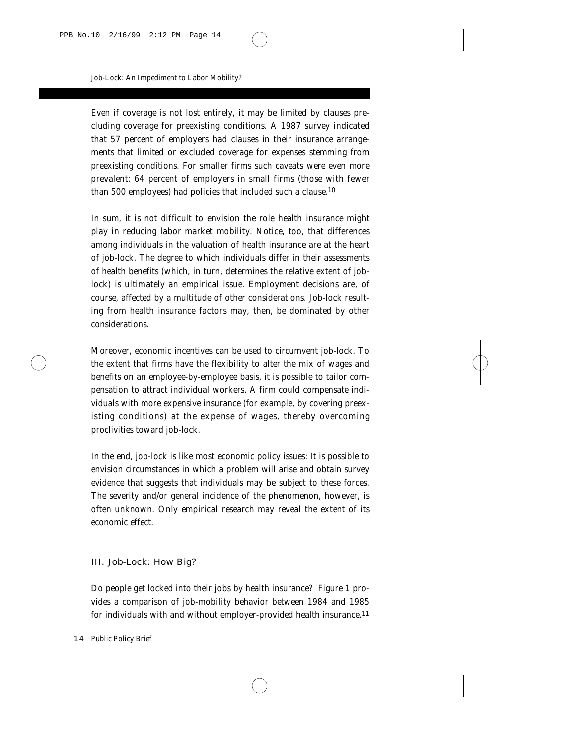Even if coverage is not lost entirely, it may be limited by clauses precluding coverage for preexisting conditions. A 1987 survey indicated that 57 percent of employers had clauses in their insurance arrangements that limited or excluded coverage for expenses stemming from preexisting conditions. For smaller firms such caveats were even more prevalent: 64 percent of employers in small firms (those with fewer than 500 employees) had policies that included such a clause.10

In sum, it is not difficult to envision the role health insurance might play in reducing labor market mobility. Notice, too, that differences among individuals in the valuation of health insurance are at the heart of job-lock. The degree to which individuals differ in their assessments of health benefits (which, in turn, determines the relative extent of joblock) is ultimately an empirical issue. Employment decisions are, of course, affected by a multitude of other considerations. Job-lock resulting from health insurance factors may, then, be dominated by other considerations.

Moreover, economic incentives can be used to circumvent job-lock. To the extent that firms have the flexibility to alter the mix of wages and benefits on an employee-by-employee basis, it is possible to tailor compensation to attract individual workers. A firm could compensate individuals with more expensive insurance (for example, by covering preexisting conditions) at the expense of wages, thereby overcoming proclivities toward job-lock.

In the end, job-lock is like most economic policy issues: It is possible to envision circumstances in which a problem will arise and obtain survey evidence that suggests that individuals may be subject to these forces. The severity and/or general incidence of the phenomenon, however, is often unknown. Only empirical research may reveal the extent of its economic effect.

#### III. Job-Lock: How Big?

Do people get locked into their jobs by health insurance? Figure 1 provides a comparison of job-mobility behavior between 1984 and 1985 for individuals with and without employer-provided health insurance.11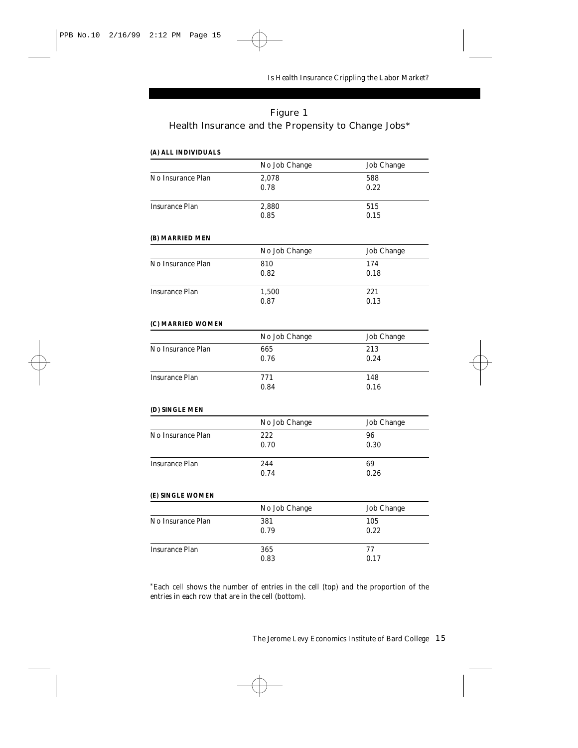### Figure 1 Health Insurance and the Propensity to Change Jobs\*

## **(A) ALL INDIVIDUALS** *No Job Change Job Change* No Insurance Plan 2.078 588 0.78 0.22 Insurance Plan 2,880 515 0.85 0.15 **(B) MARRIED MEN** *No Job Change Job Change* No Insurance Plan 810 810 174 0.82 0.18 Insurance Plan 1,500 221 0.87 0.13 **(C) MARRIED WOMEN** *No Job Change Job Change* No Insurance Plan 665 213<br>0.76 2.24 0.76 Insurance Plan 771 148 0.84 0.16 **(D) SINGLE MEN** *No Job Change Job Change* No Insurance Plan 222 22 0.70 0.30 Insurance Plan 244 69 0.74 0.26 **(E) SINGLE WOMEN** *No Job Change Job Change* No Insurance Plan 381 381 105 0.79 0.22 Insurance Plan 365 365 77 0.83 0.17

\*Each cell shows the number of entries in the cell (top) and the proportion of the entries in each *row* that are in the cell (bottom).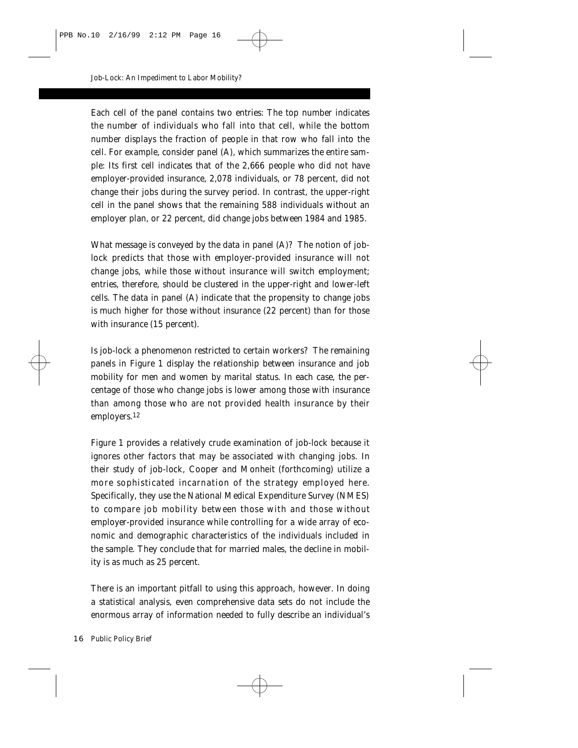Each cell of the panel contains two entries: The top number indicates the number of individuals who fall into that cell, while the bottom number displays the fraction of people *in that row* who fall into the cell. For example, consider panel (A), which summarizes the entire sample: Its first cell indicates that of the 2,666 people who did not have employer-provided insurance, 2,078 individuals, or 78 percent, did not change their jobs during the survey period. In contrast, the upper-right cell in the panel shows that the remaining 588 individuals without an employer plan, or 22 percent, did change jobs between 1984 and 1985.

What message is conveyed by the data in panel (A)? The notion of joblock predicts that those with employer-provided insurance will not change jobs, while those without insurance will switch employment; entries, therefore, should be clustered in the upper-right and lower-left cells. The data in panel (A) indicate that the propensity to change jobs *is* much higher for those without insurance (22 percent) than for those with insurance (15 percent).

Is job-lock a phenomenon restricted to certain workers? The remaining panels in Figure 1 display the relationship between insurance and job mobility for men and women by marital status. In each case, the percentage of those who change jobs is lower among those with insurance than among those who are not provided health insurance by their employers.12

Figure 1 provides a relatively crude examination of job-lock because it ignores other factors that may be associated with changing jobs. In their study of job-lock, Cooper and Monheit (forthcoming) utilize a more sophisticated incarnation of the strategy employed here. Specifically, they use the National Medical Expenditure Survey (NMES) to compare job mobility between those with and those without employer-provided insurance while controlling for a wide array of economic and demographic characteristics of the individuals included in the sample. They conclude that for married males, the decline in mobility is as much as 25 percent.

There is an important pitfall to using this approach, however. In doing a statistical analysis, even comprehensive data sets do not include the enormous array of information needed to fully describe an individual's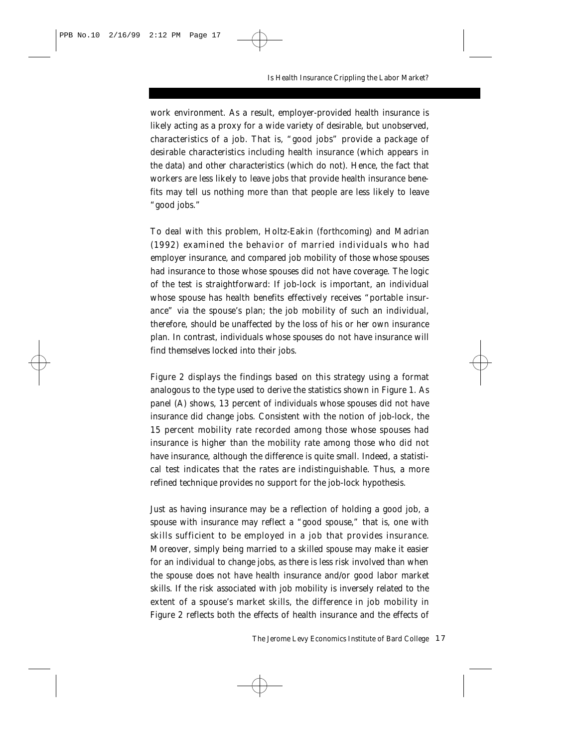work environment. As a result, employer-provided health insurance is likely acting as a proxy for a wide variety of desirable, but unobserved, characteristics of a job. That is, "good jobs" provide a package of desirable characteristics including health insurance (which appears in the data) and other characteristics (which do not). Hence, the fact that workers are less likely to leave jobs that provide health insurance benefits may tell us nothing more than that people are less likely to leave "good jobs."

To deal with this problem, Holtz-Eakin (forthcoming) and Madrian (1992) examined the behavior of married individuals who had employer insurance, and compared job mobility of those whose spouses had insurance to those whose spouses did not have coverage. The logic of the test is straightforward: If job-lock is important, an individual whose spouse has health benefits effectively receives "portable insurance" via the spouse's plan; the job mobility of such an individual, therefore, should be unaffected by the loss of his or her own insurance plan. In contrast, individuals whose spouses do not have insurance will find themselves locked into their jobs.

Figure 2 displays the findings based on this strategy using a format analogous to the type used to derive the statistics shown in Figure 1. As panel (A) shows, 13 percent of individuals whose spouses did not have insurance did change jobs. Consistent with the notion of job-lock, the 15 percent mobility rate recorded among those whose spouses had insurance is higher than the mobility rate among those who did not have insurance, although the difference is quite small. Indeed, a statistical test indicates that the rates are indistinguishable. Thus, a more refined technique provides no support for the job-lock hypothesis.

Just as having insurance may be a reflection of holding a good job, a spouse with insurance may reflect a "good spouse," that is, one with skills sufficient to be employed in a job that provides insurance. Moreover, simply being married to a skilled spouse may make it easier for an individual to change jobs, as there is less risk involved than when the spouse does not have health insurance and/or good labor market skills. If the risk associated with job mobility is inversely related to the extent of a spouse's market skills, the difference in job mobility in Figure 2 reflects both the effects of health insurance and the effects of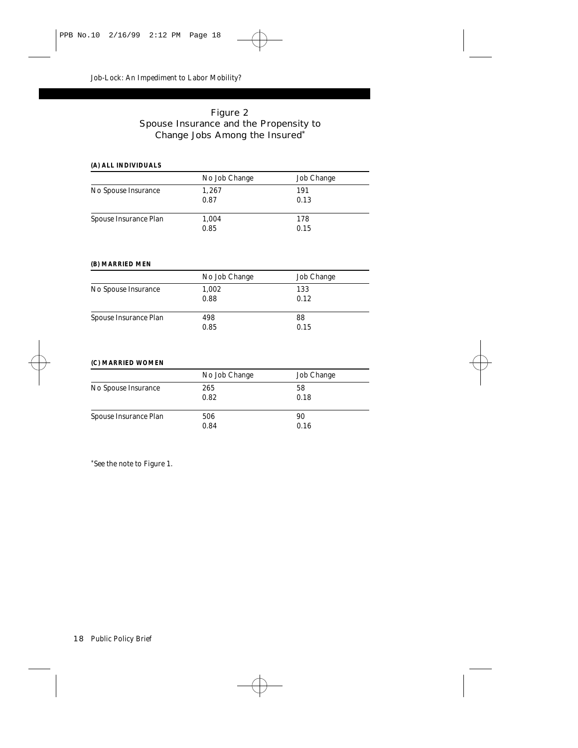### Figure 2 Spouse Insurance and the Propensity to Change Jobs Among the Insured\*

#### **(A) ALL INDIVIDUALS**

|                       | No Job Change | <b>Job Change</b> |
|-----------------------|---------------|-------------------|
| No Spouse Insurance   | 1,267         | 191               |
|                       | 0.87          | 0.13              |
| Spouse Insurance Plan | 1,004         | 178               |
|                       | 0.85          | 0.15              |

#### **(B) MARRIED MEN**

|                       | No Job Change | <b>Job Change</b> |  |
|-----------------------|---------------|-------------------|--|
| No Spouse Insurance   | 1,002         | 133               |  |
|                       | 0.88          | 0.12              |  |
| Spouse Insurance Plan | 498           | 88                |  |
|                       | 0.85          | 0.15              |  |

#### **(C) MARRIED WOMEN**

|                       | No Job Change | Job Change |
|-----------------------|---------------|------------|
| No Spouse Insurance   | 265           | 58         |
|                       | 0.82          | 0.18       |
| Spouse Insurance Plan | 506           | 90         |
|                       | 0.84          | 0.16       |

\*See the note to Figure 1.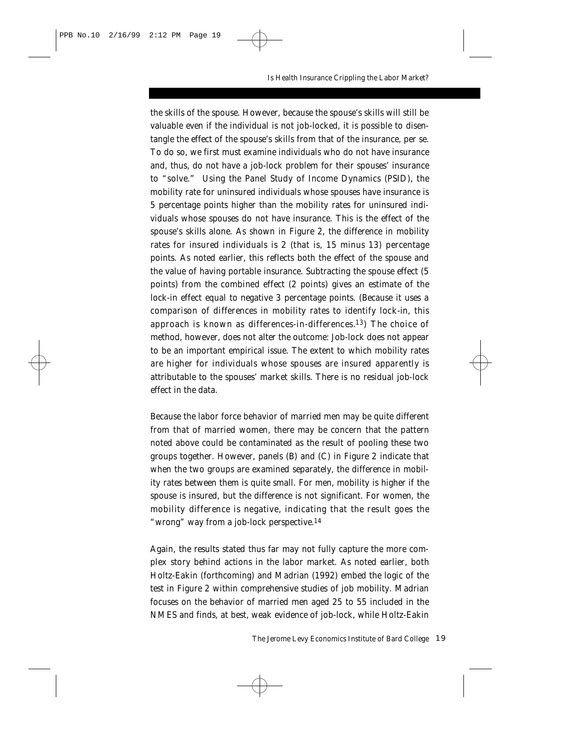the skills of the spouse. However, because the spouse's skills will still be valuable even if the individual is not job-locked, it is possible to disentangle the effect of the spouse's skills from that of the insurance, per se. To do so, we first must examine individuals who do not have insurance and, thus, do not have a job-lock problem for their spouses' insurance to "solve." Using the Panel Study of Income Dynamics (PSID), the mobility rate for uninsured individuals whose spouses have insurance is 5 percentage points higher than the mobility rates for uninsured individuals whose spouses do *not* have insurance. This is the effect of the spouse's skills alone. As shown in Figure 2, the difference in mobility rates for insured individuals is 2 (that is, 15 minus 13) percentage points. As noted earlier, this reflects both the effect of the spouse and the value of having portable insurance. Subtracting the spouse effect (5 points) from the combined effect (2 points) gives an estimate of the lock-in effect equal to *negative* 3 percentage points. (Because it uses a comparison of differences in mobility rates to identify lock-in, this approach is known as differences-in-differences.<sup>13</sup>) The choice of method, however, does not alter the outcome: Job-lock does not appear to be an important empirical issue. The extent to which mobility rates are higher for individuals whose spouses are insured apparently is attributable to the spouses' market skills. There is no residual job-lock effect in the data.

Because the labor force behavior of married men may be quite different from that of married women, there may be concern that the pattern noted above could be contaminated as the result of pooling these two groups together. However, panels (B) and (C) in Figure 2 indicate that when the two groups are examined separately, the difference in mobility rates between them is quite small. For men, mobility is higher if the spouse is insured, but the difference is not significant. For women, the mobility difference is negative, indicating that the result goes the "wrong" way from a job-lock perspective.14

Again, the results stated thus far may not fully capture the more complex story behind actions in the labor market. As noted earlier, both Holtz-Eakin (forthcoming) and Madrian (1992) embed the logic of the test in Figure 2 within comprehensive studies of job mobility. Madrian focuses on the behavior of married men aged 25 to 55 included in the NMES and finds, at best, weak evidence of job-lock, while Holtz-Eakin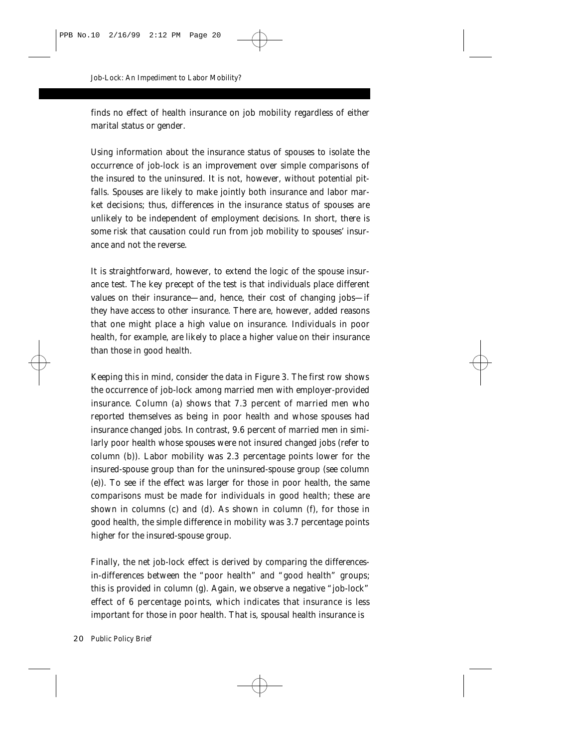finds no effect of health insurance on job mobility regardless of either marital status or gender.

Using information about the insurance status of spouses to isolate the occurrence of job-lock is an improvement over simple comparisons of the insured to the uninsured. It is not, however, without potential pitfalls. Spouses are likely to make jointly both insurance and labor market decisions; thus, differences in the insurance status of spouses are unlikely to be independent of employment decisions. In short, there is some risk that causation could run from job mobility to spouses' insurance and not the reverse.

It is straightforward, however, to extend the logic of the spouse insurance test. The key precept of the test is that individuals place different values on their insurance—and, hence, their cost of changing jobs—if they have access to other insurance. There are, however, added reasons that one might place a high value on insurance. Individuals in poor health, for example, are likely to place a higher value on their insurance than those in good health.

Keeping this in mind, consider the data in Figure 3. The first row shows the occurrence of job-lock among married men with employer-provided insurance. Column (a) shows that 7.3 percent of married men who reported themselves as being in poor health and whose spouses had insurance changed jobs. In contrast, 9.6 percent of married men in similarly poor health whose spouses were not insured changed jobs (refer to column (b)). Labor mobility was 2.3 percentage points *lower* for the insured-spouse group than for the uninsured-spouse group (see column (e)). To see if the effect was larger for those in poor health, the same comparisons must be made for individuals in good health; these are shown in columns (c) and (d). As shown in column (f), for those in good health, the simple difference in mobility was 3.7 percentage points higher for the insured-spouse group.

Finally, the net job-lock effect is derived by comparing the differencesin-differences between the "poor health" and "good health" groups; this is provided in column (g). Again, we observe a *negative* "job-lock" effect of 6 percentage points, which indicates that insurance is less important for those in poor health. That is, spousal health insurance is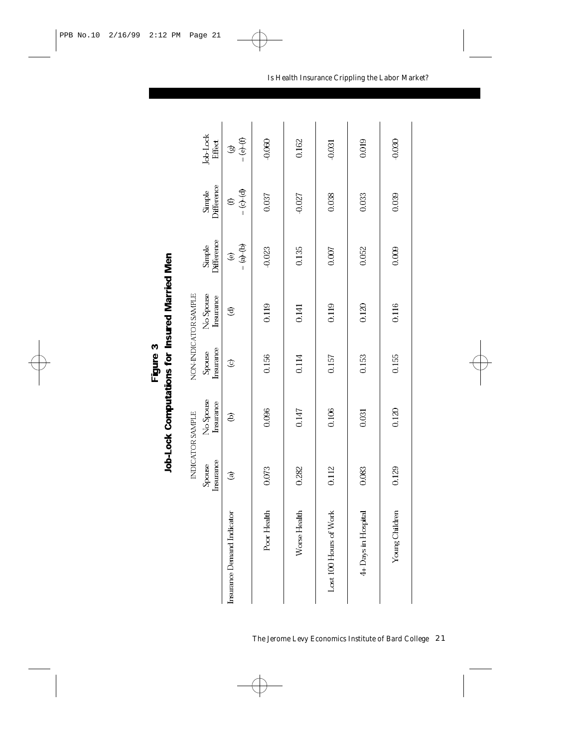|   | l |
|---|---|
| í |   |
| Ϊ | T |
|   | L |

|                            |                     | INDICATOR SAMPLE       |                     | NON-INDICATOR SAMPLE   |                                 |                           |                                 |
|----------------------------|---------------------|------------------------|---------------------|------------------------|---------------------------------|---------------------------|---------------------------------|
|                            | Insurance<br>Spouse | No Spouse<br>Insurance | Insurance<br>Spouse | No Spouse<br>Insurance | Difference<br>Simple            | Difference<br>Simple      | <b>Job-Lock</b><br>Effect       |
| Insurance Demand Indicator | $\circledcirc$      | ê                      | $\circledcirc$      | €                      | $= (a) - (b)$<br>$\circledcirc$ | $= (c) - (d)$<br>$\oplus$ | $= (e) - (f)$<br>$\circledcirc$ |
| Poor Health                | 0.073               | 0.096                  | 0.156               | 0119                   | $-0.023$                        | 0037                      | -0.060                          |
| Worse Health               | 0282                | 0.147                  | 0.114               | 0.141                  | 0.135                           | $-0.027$                  | 0.162                           |
| Lost 100 Hours of Work     | 0.112               | 0.106                  | 0157                | 0.119                  | 0.007                           | 0.038                     | $-0.031$                        |
| 4+ Days in Hospital        | 0.083               | 0.031                  | 0.153               | 0.120                  | 0052                            | 0.033                     | 0.019                           |
| Young Children             | 0129                | 0.120                  | 0.155               | 0.116                  | $\frac{0}{2}$                   | 0.039                     | $-0.030$                        |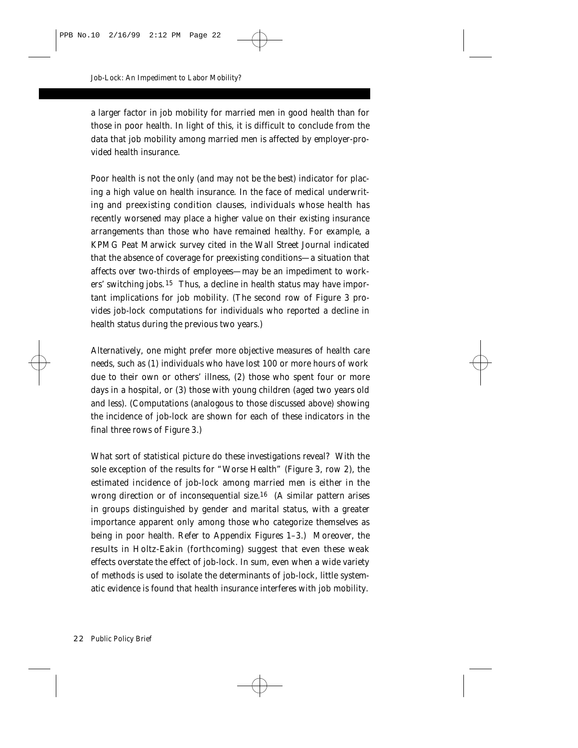a larger factor in job mobility for married men in good health than for those in poor health. In light of this, it is difficult to conclude from the data that job mobility among married men is affected by employer-provided health insurance.

Poor health is not the only (and may not be the best) indicator for placing a high value on health insurance. In the face of medical underwriting and preexisting condition clauses, individuals whose health has recently worsened may place a higher value on their existing insurance arrangements than those who have remained healthy. For example, a KPMG Peat Marwick survey cited in the *Wall Street Journal* indicated that the absence of coverage for preexisting conditions—a situation that affects over two-thirds of employees—may be an impediment to workers' switching jobs.15 Thus, a decline in health status may have important implications for job mobility. (The second row of Figure 3 provides job-lock computations for individuals who reported a decline in health status during the previous two years.)

Alternatively, one might prefer more objective measures of health care needs, such as (1) individuals who have lost 100 or more hours of work due to their own or others' illness, (2) those who spent four or more days in a hospital, or (3) those with young children (aged two years old and less). (Computations (analogous to those discussed above) showing the incidence of job-lock are shown for each of these indicators in the final three rows of Figure 3.)

What sort of statistical picture do these investigations reveal? With the sole exception of the results for "Worse Health" (Figure 3, row 2), the estimated incidence of job-lock among married men is either in the wrong direction or of inconsequential size.16 (A similar pattern arises in groups distinguished by gender and marital status, with a greater importance apparent only among those who categorize themselves as being in poor health. Refer to Appendix Figures 1–3.) Moreover, the results in Holtz-Eakin (forthcoming) suggest that even these weak effects overstate the effect of job-lock. In sum, even when a wide variety of methods is used to isolate the determinants of job-lock, little systematic evidence is found that health insurance interferes with job mobility.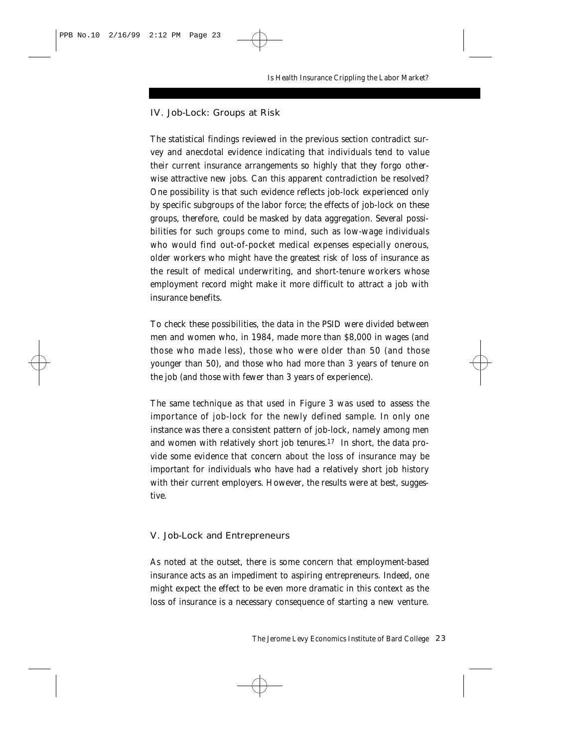#### IV. Job-Lock: Groups at Risk

The statistical findings reviewed in the previous section contradict survey and anecdotal evidence indicating that individuals tend to value their current insurance arrangements so highly that they forgo otherwise attractive new jobs. Can this apparent contradiction be resolved? One possibility is that such evidence reflects job-lock experienced only by specific subgroups of the labor force; the effects of job-lock on these groups, therefore, could be masked by data aggregation. Several possibilities for such groups come to mind, such as low-wage individuals who would find out-of-pocket medical expenses especially onerous, older workers who might have the greatest risk of loss of insurance as the result of medical underwriting, and short-tenure workers whose employment record might make it more difficult to attract a job with insurance benefits.

To check these possibilities, the data in the PSID were divided between men and women who, in 1984, made more than \$8,000 in wages (and those who made less), those who were older than 50 (and those younger than 50), and those who had more than 3 years of tenure on the job (and those with fewer than 3 years of experience).

The same technique as that used in Figure 3 was used to assess the importance of job-lock for the newly defined sample. In only one instance was there a consistent pattern of job-lock, namely among men and women with relatively short job tenures.17 In short, the data provide some evidence that concern about the loss of insurance may be important for individuals who have had a relatively short job history with their current employers. However, the results were at best, suggestive.

#### V. Job-Lock and Entrepreneurs

As noted at the outset, there is some concern that employment-based insurance acts as an impediment to aspiring entrepreneurs. Indeed, one might expect the effect to be even more dramatic in this context as the loss of insurance is a necessary consequence of starting a new venture.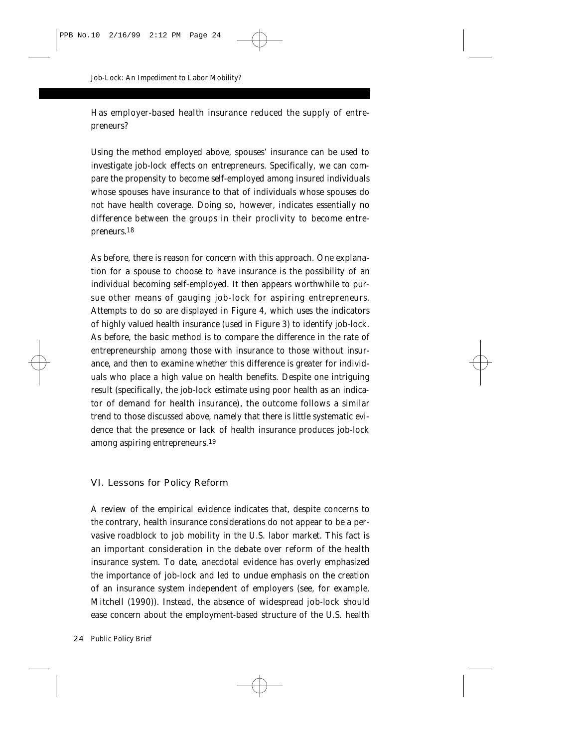Has employer-based health insurance reduced the supply of entrepreneurs?

Using the method employed above, spouses' insurance can be used to investigate job-lock effects on entrepreneurs. Specifically, we can compare the propensity to become self-employed among insured individuals whose spouses have insurance to that of individuals whose spouses do not have health coverage. Doing so, however, indicates essentially no difference between the groups in their proclivity to become entrepreneurs.18

As before, there is reason for concern with this approach. One explanation for a spouse to choose to have insurance is the possibility of an individual becoming self-employed. It then appears worthwhile to pursue other means of gauging job-lock for aspiring entrepreneurs. Attempts to do so are displayed in Figure 4, which uses the indicators of highly valued health insurance (used in Figure 3) to identify job-lock. As before, the basic method is to compare the difference in the rate of entrepreneurship among those with insurance to those without insurance, and then to examine whether this difference is greater for individuals who place a high value on health benefits. Despite one intriguing result (specifically, the job-lock estimate using poor health as an indicator of demand for health insurance), the outcome follows a similar trend to those discussed above, namely that there is little systematic evidence that the presence or lack of health insurance produces job-lock among aspiring entrepreneurs.19

#### VI. Lessons for Policy Reform

A review of the empirical evidence indicates that, despite concerns to the contrary, health insurance considerations do not appear to be a pervasive roadblock to job mobility in the U.S. labor market. This fact is an important consideration in the debate over reform of the health insurance system. To date, anecdotal evidence has overly emphasized the importance of job-lock and led to undue emphasis on the creation of an insurance system independent of employers (see, for example, Mitchell (1990)). Instead, the absence of widespread job-lock should ease concern about the employment-based structure of the U.S. health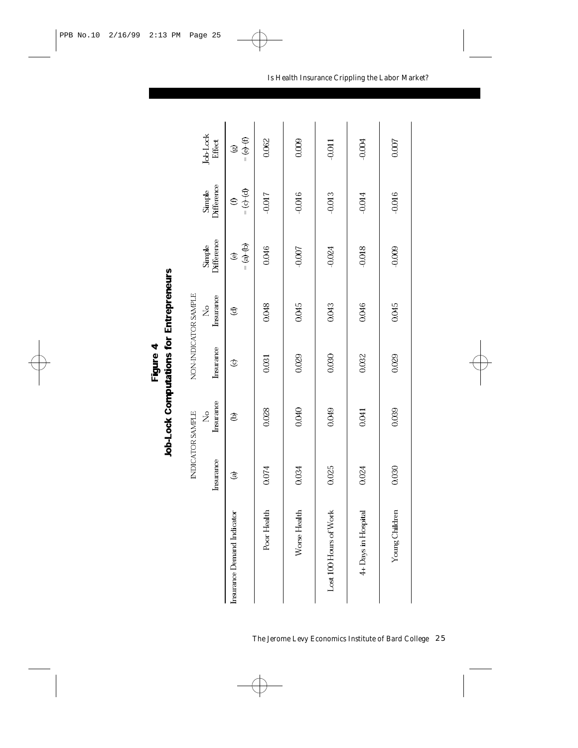|   | reneu<br><b>Hirep</b> |
|---|-----------------------|
|   |                       |
| į | is for<br>j           |
|   | I                     |

|                            |                | INDICATOR SAMPLE<br>ż |                | NON-INDICATOR SAMPLE<br>ž | Simple             | Simple          | <b>Job-Lock</b>             |
|----------------------------|----------------|-----------------------|----------------|---------------------------|--------------------|-----------------|-----------------------------|
|                            | Insurance      | Insurance             | Insurance      | Insurance                 | <b>Difference</b>  | Difference      | Effect                      |
| Insurance Demand Indicator | $\circledcirc$ | ê                     | $\circledcirc$ | T                         | $= (a) - (b)$<br>© | $= (0,-6)$<br>€ | $= (\Theta - (\theta)$<br>ø |
| Poor Health                | 0.074          | 0.028                 | 0.031          | 0.048                     | 0.046              | -0.017          | 0.062                       |
| Worse Health               | 0.034          | 0.040                 | 0.029          | 0.045                     | $-0.007$           | $-0.016$        | 0.009                       |
| Lost 100 Hours of Work     | 0.025          | 0.049                 | 0.030          | 0.043                     | $-0.024$           | $-0.013$        | $-0.011$                    |
| 4+ Days in Hospital        | 0.024          | 0.041                 | 0.032          | 0.046                     | $-0.018$           | $-0.014$        | $-0.004$                    |
| Young Children             | 0.030          | 0.039                 | 0029           | 0.045                     | $-0.009$           | $-0.016$        | 0.007                       |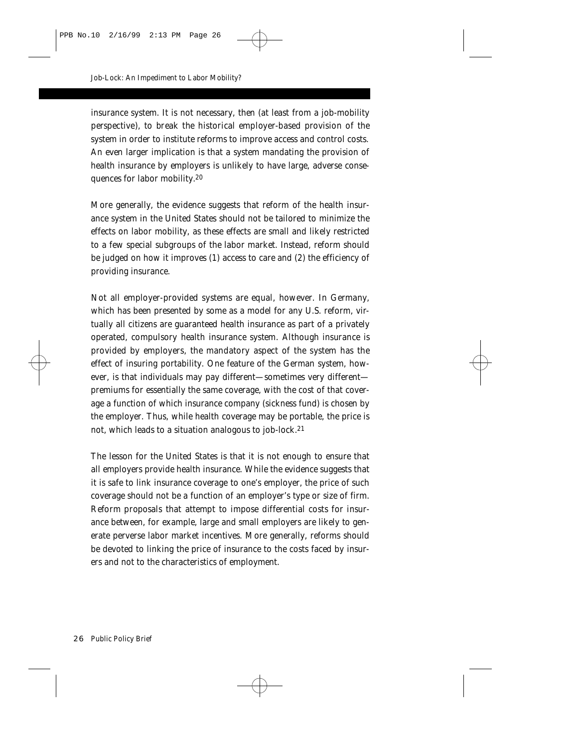insurance system. It is not necessary, then (at least from a job-mobility perspective), to break the historical employer-based provision of the system in order to institute reforms to improve access and control costs. An even larger implication is that a system mandating the provision of health insurance by employers is unlikely to have large, adverse consequences for labor mobility.20

More generally, the evidence suggests that reform of the health insurance system in the United States should not be tailored to minimize the effects on labor mobility, as these effects are small and likely restricted to a few special subgroups of the labor market. Instead, reform should be judged on how it improves (1) access to care and (2) the efficiency of providing insurance.

Not all employer-provided systems are equal, however. In Germany, which has been presented by some as a model for any U.S. reform, virtually all citizens are guaranteed health insurance as part of a privately operated, compulsory health insurance system. Although insurance is provided by employers, the mandatory aspect of the system has the effect of insuring portability. One feature of the German system, however, is that individuals may pay different—sometimes very different premiums for essentially the same coverage, with the cost of that coverage a function of which insurance company (sickness fund) is chosen by the employer. Thus, while health *coverage* may be portable, the *price* is not, which leads to a situation analogous to job-lock.21

The lesson for the United States is that it is not enough to ensure that all employers provide health insurance. While the evidence suggests that it is safe to link insurance *coverage* to one's employer, the *price* of such coverage should not be a function of an employer's type or size of firm. Reform proposals that attempt to impose differential costs for insurance between, for example, large and small employers are likely to generate perverse labor market incentives. More generally, reforms should be devoted to linking the price of insurance to the costs faced by insurers and not to the characteristics of employment.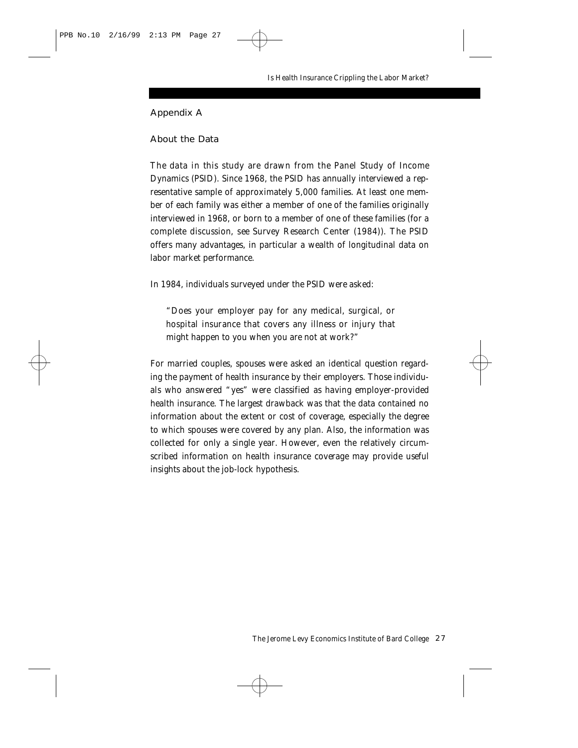#### Appendix A

#### About the Data

The data in this study are drawn from the Panel Study of Income Dynamics (PSID). Since 1968, the PSID has annually interviewed a representative sample of approximately 5,000 families. At least one member of each family was either a member of one of the families originally interviewed in 1968, or born to a member of one of these families (for a complete discussion, see Survey Research Center (1984)). The PSID offers many advantages, in particular a wealth of longitudinal data on labor market performance.

In 1984, individuals surveyed under the PSID were asked:

"Does your employer pay for any medical, surgical, or hospital insurance that covers any illness or injury that might happen to you when you are not at work?"

For married couples, spouses were asked an identical question regarding the payment of health insurance by their employers. Those individuals who answered "yes" were classified as having employer-provided health insurance. The largest drawback was that the data contained no information about the extent or cost of coverage, especially the degree to which spouses were covered by any plan. Also, the information was collected for only a single year. However, even the relatively circumscribed information on health insurance coverage may provide useful insights about the job-lock hypothesis.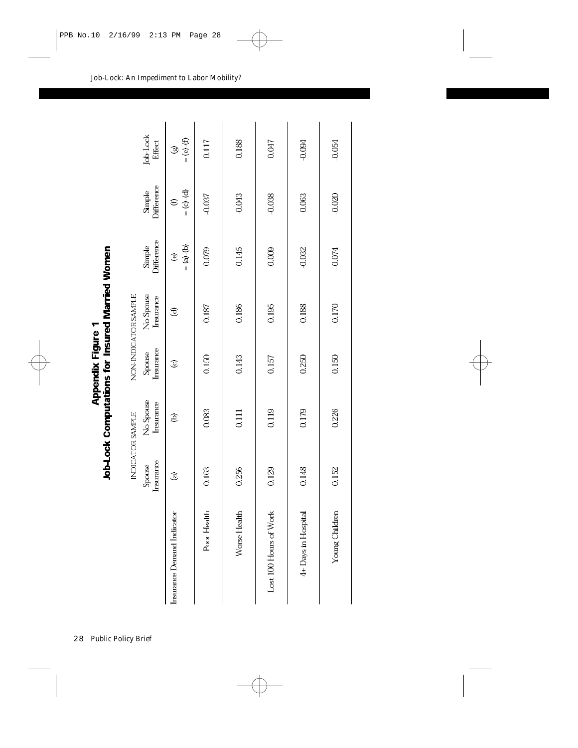| ī | i<br>į                     |
|---|----------------------------|
|   | į                          |
| ļ | -<br>L<br>ţ<br>ļ<br>i<br>ì |
|   |                            |
|   | L                          |

 $\overline{\phantom{0}}$ 

|                                   |                     | INDICATOR SAMPLE                   |                     | NON-INDICATOR SAMPLE   |                      |                      |                    |
|-----------------------------------|---------------------|------------------------------------|---------------------|------------------------|----------------------|----------------------|--------------------|
|                                   | Insurance<br>Spouse | No Spouse<br>In <sub>surface</sub> | Insurance<br>Spouse | No Spouse<br>Insurance | Simple<br>Difference | Simple<br>Difference | Job-Lock<br>Effect |
| <b>Insurance Demand Indicator</b> | $\widehat{c}$       | ê                                  | $\circledcirc$      | T                      | $= (a) - (b)$<br>ම   | $=$ (c)-(d) $=$<br>€ | $(-6)$<br>ತಾ       |
| Poor Health                       | 0.163               | 0.083                              | 0.150               | 0.187                  | 0.079                | $-0.037$             | 0.117              |
| Worse Health                      | 0256                | 0.111                              | 0.143               | 0.186                  | 0.145                | $-0.043$             | 0.188              |
| Lost 100 Hours of Work            | 0.129               | 0.119                              | 0.157               | 0.195                  | 0.009                | $-0.038$             | 0.047              |
| 4+ Days in Hospital               | 0.148               | 0.179                              | 0.250               | 0.188                  | $-0.032$             | 0.063                | $-0.094$           |
| Young Children                    | 0.152               | 0.226                              | 0.150               | 0.170                  | $-0.074$             | $-0.020$             | $-0.054$           |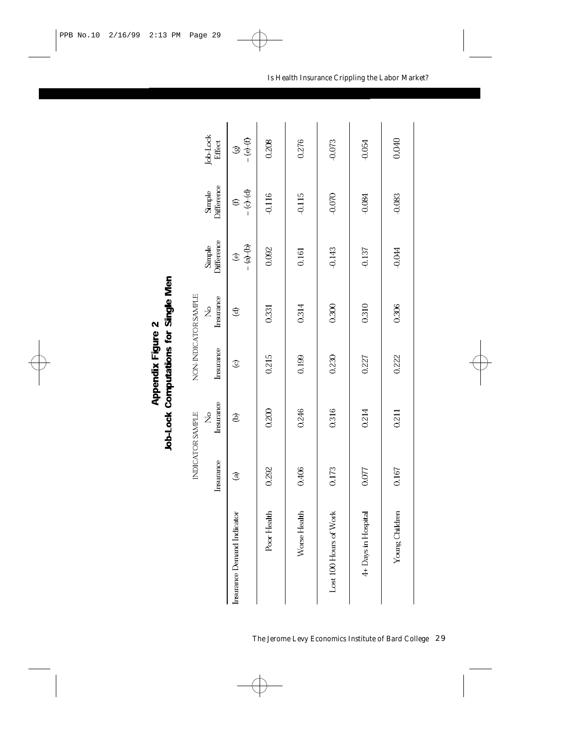| J<br>١ | ļ |
|--------|---|
| È      | ŗ |
|        |   |

|                            |                | INDICATOR SAMPLE | NON-INDICATOR SAMPLE |                |                                 |                      |                    |
|----------------------------|----------------|------------------|----------------------|----------------|---------------------------------|----------------------|--------------------|
|                            | Insurance      | Insurance<br>2,  | Insurance            | Insurance<br>ż | Difference<br>Simple            | Difference<br>Simple | Job-Lock<br>Effect |
| Insurance Demand Indicator | $\circledcirc$ | ê                | $\circledcirc$       | $\mathfrak{D}$ | $= (a) - (b)$<br>$\circledcirc$ | $= (c) - (d)$        | $= (e) - (f)$<br>ø |
| Poor Health                | 0.292          | 0.200            | 0.215                | 0.331          | 0.092                           | $-0.116$             | 0.208              |
| Worse Health               | 0.406          | 0.246            | 0.199                | 0314           | 0.161                           | $-0.115$             | 0276               |
| Lost 100 Hours of Work     | 0.173          | 0.316            | 0.230                | 0.300          | $-0.143$                        | $-0.070$             | $-0.073$           |
| 4+ Days in Hospital        | 0.077          | 0.214            | 0.227                | 0.310          | $-0.137$                        | $-0.084$             | $-0.054$           |
| Young Children             | 0.167          | 0211             | 0.222                | 0.306          | $-0.044$                        | $-0.083$             | 0.040              |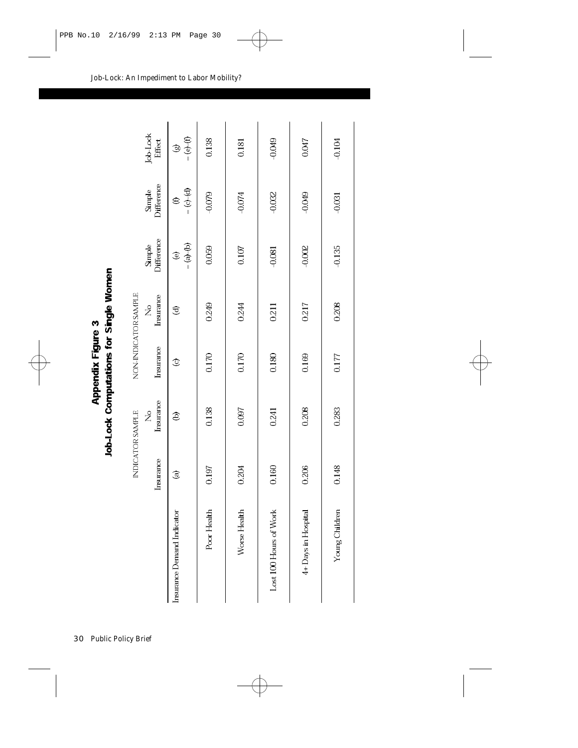| .,<br>ਤੋ         | í      |
|------------------|--------|
| l<br>Ï<br>a<br>R | ٦<br>ļ |
|                  | Ţ      |

|                            |                | INDICATOR SAMPLE           |           | NON-INDICATOR SAMPLE |                      |                      |                    |
|----------------------------|----------------|----------------------------|-----------|----------------------|----------------------|----------------------|--------------------|
|                            | Insurance      | Insurance<br>$\frac{1}{2}$ | Insurance | Insurance<br>ž,      | Difference<br>Simple | Difference<br>Simple | Job-Lock<br>Effect |
| Insurance Demand Indicator | $\circledcirc$ | ê                          | $\circ$   | T                    | $= (a) - (b)$<br>€   | $= (c) - (d)$<br>≘   | $(-6)$<br>B        |
| Poor Health                | 0.197          | 0.138                      | 0.170     | 0.249                | 0.059                | $-0.079$             | 0.138              |
| Worse Health               | 0.204          | 0.097                      | 0.170     | 0244                 | 0.107                | $-0.074$             | 0181               |
| Lost 100 Hours of Work     | 0.160          | 0.241                      | 0.180     | 0.211                | $-0.081$             | $-0.032$             | $-0.049$           |
| 4+ Days in Hospital        | 0.206          | 0.208                      | 0.169     | 0.217                | $-0.002$             | $-0.049$             | 0.047              |
| Young Children             | 0.148          | 0283                       | 0.177     | 0.208                | $-0.135$             | $-0.031$             | $-0.104$           |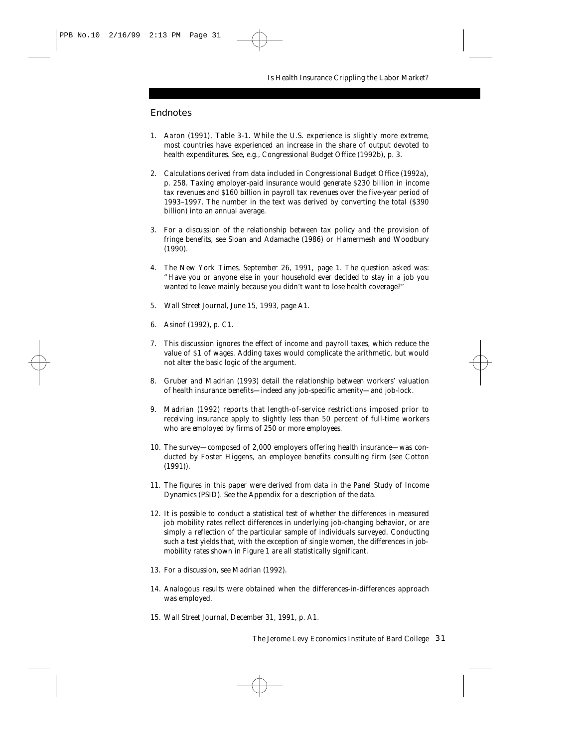#### **Endnotes**

- 1. Aaron (1991), Table 3-1. While the U.S. experience is slightly more extreme, most countries have experienced an increase in the share of output devoted to health expenditures. See, e.g., Congressional Budget Office (1992b), p. 3.
- 2. Calculations derived from data included in Congressional Budget Office (1992a), p. 258. Taxing employer-paid insurance would generate \$230 billion in income tax revenues and \$160 billion in payroll tax revenues over the five-year period of 1993–1997. The number in the text was derived by converting the total (\$390 billion) into an annual average.
- 3. For a discussion of the relationship between tax policy and the provision of fringe benefits, see Sloan and Adamache (1986) or Hamermesh and Woodbury (1990).
- 4. The *New York Times*, September 26, 1991, page 1. The question asked was: "Have you or anyone else in your household ever decided to stay in a job you wanted to leave mainly because you didn't want to lose health coverage?"
- 5. *Wall Street Journal*, June 15, 1993, page A1.
- 6. Asinof (1992), p. C1.
- 7. This discussion ignores the effect of income and payroll taxes, which reduce the value of \$1 of wages. Adding taxes would complicate the arithmetic, but would not alter the basic logic of the argument.
- 8. Gruber and Madrian (1993) detail the relationship between workers' valuation of health insurance benefits—indeed any job-specific amenity—and job-lock.
- 9. Madrian (1992) reports that length-of-service restrictions imposed prior to receiving insurance apply to slightly less than 50 percent of full-time workers who are employed by firms of 250 or more employees.
- 10. The survey—composed of 2,000 employers offering health insurance—was conducted by Foster Higgens, an employee benefits consulting firm (see Cotton (1991)).
- 11. The figures in this paper were derived from data in the Panel Study of Income Dynamics (PSID). See the Appendix for a description of the data.
- 12. It is possible to conduct a statistical test of whether the differences in measured job mobility rates reflect differences in underlying job-changing behavior, or are simply a reflection of the particular sample of individuals surveyed. Conducting such a test yields that, with the exception of single women, the differences in jobmobility rates shown in Figure 1 are all statistically significant.
- 13. For a discussion, see Madrian (1992).
- 14. Analogous results were obtained when the differences-in-differences approach was employed.
- 15. *Wall Street Journal*, December 31, 1991, p. A1.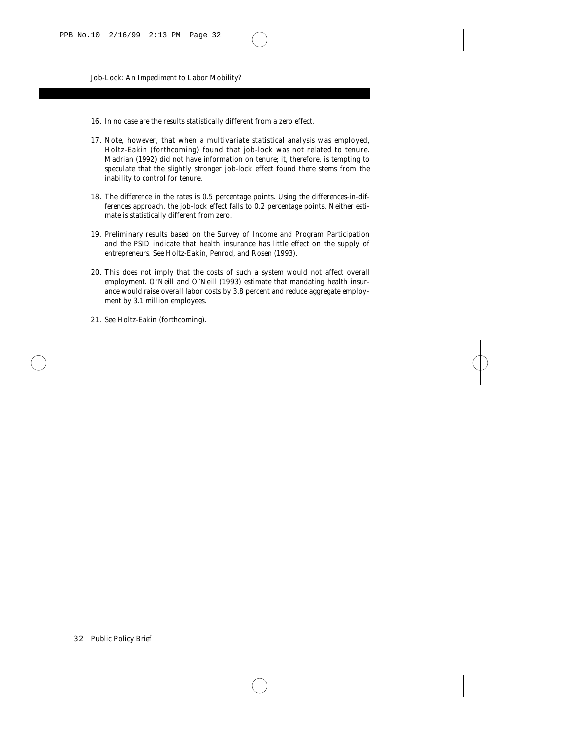- 16. In *no* case are the results statistically different from a zero effect.
- 17. Note, however, that when a multivariate statistical analysis was employed, Holtz-Eakin (forthcoming) found that job-lock was not related to tenure. Madrian (1992) did not have information on tenure; it, therefore, is tempting to speculate that the slightly stronger job-lock effect found there stems from the inability to control for tenure.
- 18. The difference in the rates is 0.5 percentage points. Using the differences-in-differences approach, the job-lock effect falls to 0.2 percentage points. Neither estimate is statistically different from zero.
- 19. Preliminary results based on the Survey of Income and Program Participation and the PSID indicate that health insurance has little effect on the supply of entrepreneurs. See Holtz-Eakin, Penrod, and Rosen (1993).
- 20. This does not imply that the costs of such a system would not affect overall employment. O'Neill and O'Neill (1993) estimate that mandating health insurance would raise overall labor costs by 3.8 percent and reduce aggregate employment by 3.1 million employees.
- 21. See Holtz-Eakin (forthcoming).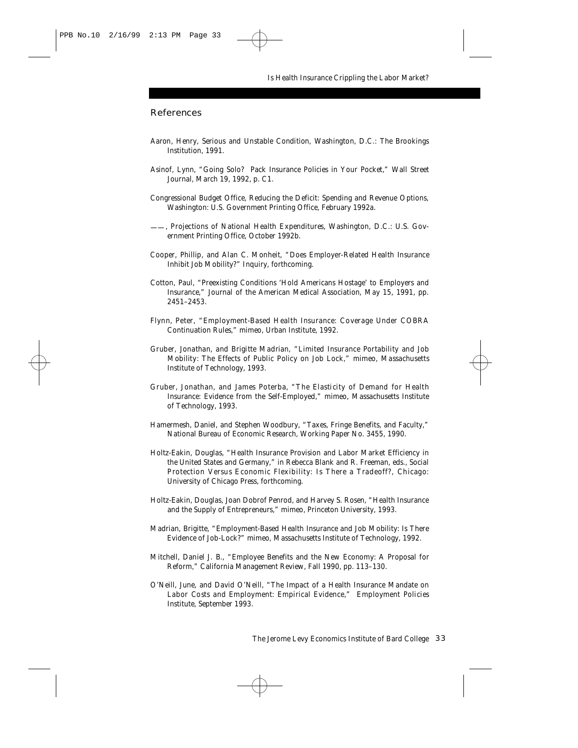#### References

- Aaron, Henry, *Serious and Unstable Condition*, Washington, D.C.: The Brookings Institution, 1991.
- Asinof, Lynn, "Going Solo? Pack Insurance Policies in Your Pocket," *Wall Street Journal*, March 19, 1992, p. C1.
- Congressional Budget Office, *Reducing the Deficit: Spending and Revenue Options*, Washington: U.S. Government Printing Office, February 1992a.
- ——, *Projections of National Health Expenditures*, Washington, D.C.: U.S. Government Printing Office, October 1992b.
- Cooper, Phillip, and Alan C. Monheit, "Does Employer-Related Health Insurance Inhibit Job Mobility?" *Inquiry*, forthcoming.
- Cotton, Paul, "Preexisting Conditions 'Hold Americans Hostage' to Employers and Insurance," *Journal of the American Medical Association*, May 15, 1991, pp. 2451–2453.
- Flynn, Peter, "Employment-Based Health Insurance: Coverage Under COBRA Continuation Rules," mimeo, Urban Institute, 1992.
- Gruber, Jonathan, and Brigitte Madrian, "Limited Insurance Portability and Job Mobility: The Effects of Public Policy on Job Lock," mimeo, Massachusetts Institute of Technology, 1993.
- Gruber, Jonathan, and James Poterba, "The Elasticity of Demand for Health Insurance: Evidence from the Self-Employed," mimeo, Massachusetts Institute of Technology, 1993.
- Hamermesh, Daniel, and Stephen Woodbury, "Taxes, Fringe Benefits, and Faculty," National Bureau of Economic Research, Working Paper No. 3455, 1990.
- Holtz-Eakin, Douglas, "Health Insurance Provision and Labor Market Efficiency in the United States and Germany," in Rebecca Blank and R. Freeman, eds., *Social Protection Versus Economic Flexibility: Is There a Tradeoff?*, Chicago: University of Chicago Press, forthcoming.
- Holtz-Eakin, Douglas, Joan Dobrof Penrod, and Harvey S. Rosen, "Health Insurance and the Supply of Entrepreneurs," mimeo, Princeton University, 1993.
- Madrian, Brigitte, "Employment-Based Health Insurance and Job Mobility: Is There Evidence of Job-Lock?" mimeo, Massachusetts Institute of Technology, 1992.
- Mitchell, Daniel J. B., "Employee Benefits and the New Economy: A Proposal for Reform," *California Management Review*, Fall 1990, pp. 113–130.
- O'Neill, June, and David O'Neill, "The Impact of a Health Insurance Mandate on Labor Costs and Employment: Empirical Evidence," Employment Policies Institute, September 1993.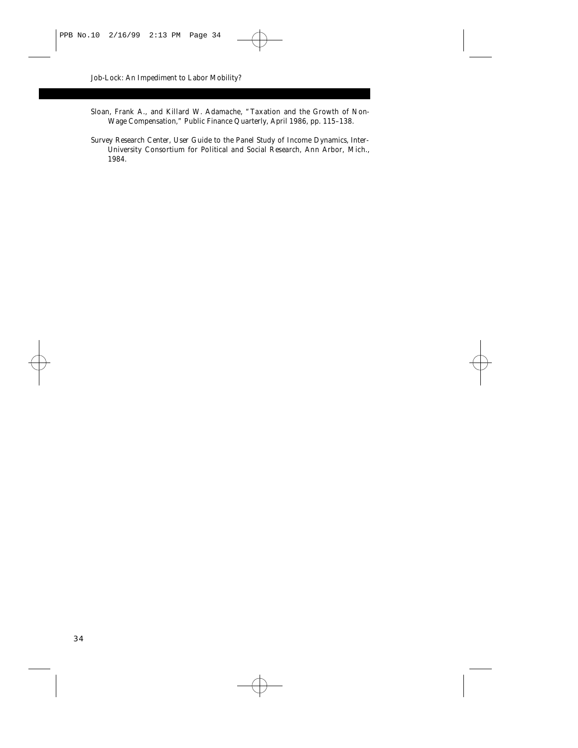- Sloan, Frank A., and Killard W. Adamache, "Taxation and the Growth of Non-Wage Compensation," *Public Finance Quarterly*, April 1986, pp. 115–138.
- Survey Research Center, *User Guide to the Panel Study of Income Dynamics*, Inter-University Consortium for Political and Social Research, Ann Arbor, Mich., 1984.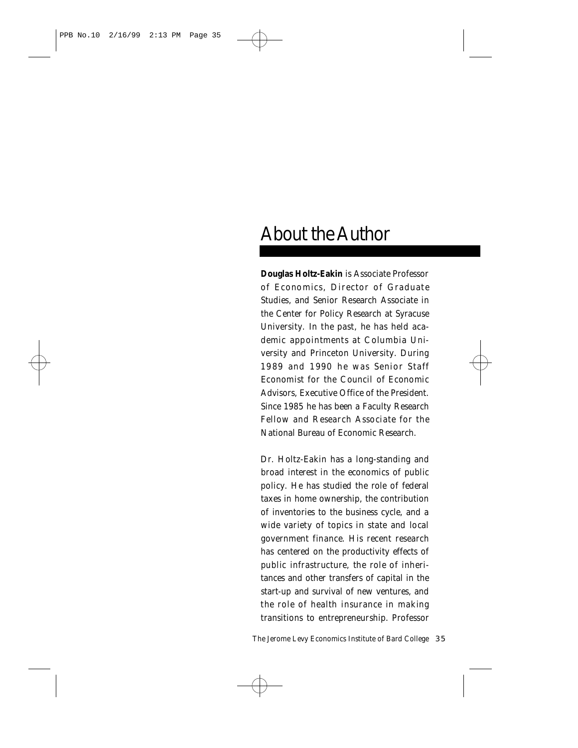# About the Author

**Douglas Holtz-Eakin** is Associate Professor of Economics, Director of Graduate Studies, and Senior Research Associate in the Center for Policy Research at Syracuse University. In the past, he has held academic appointments at Columbia University and Princeton University. During 1989 and 1990 he was Senior Staff Economist for the Council of Economic Advisors, Executive Office of the President. Since 1985 he has been a Faculty Research Fellow and Research Associate for the National Bureau of Economic Research.

Dr. Holtz-Eakin has a long-standing and broad interest in the economics of public policy. He has studied the role of federal taxes in home ownership, the contribution of inventories to the business cycle, and a wide variety of topics in state and local government finance. His recent research has centered on the productivity effects of public infrastructure, the role of inheritances and other transfers of capital in the start-up and survival of new ventures, and the role of health insurance in making transitions to entrepreneurship. Professor